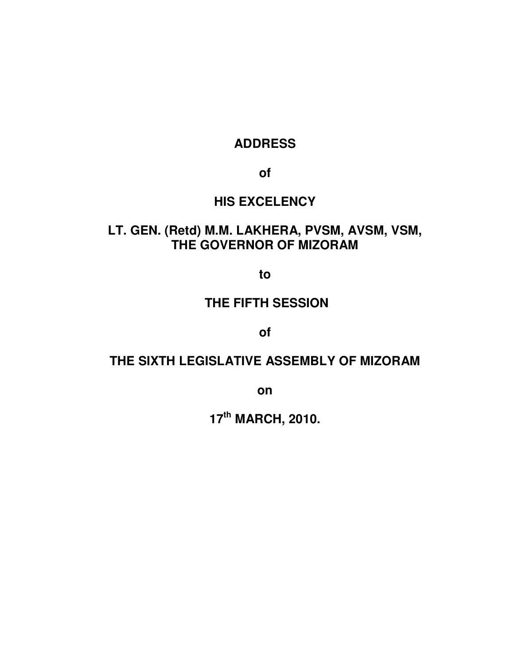## **ADDRESS**

**of** 

# **HIS EXCELENCY**

# **LT. GEN. (Retd) M.M. LAKHERA, PVSM, AVSM, VSM, THE GOVERNOR OF MIZORAM**

**to** 

### **THE FIFTH SESSION**

**of** 

## **THE SIXTH LEGISLATIVE ASSEMBLY OF MIZORAM**

**on** 

**17th MARCH, 2010.**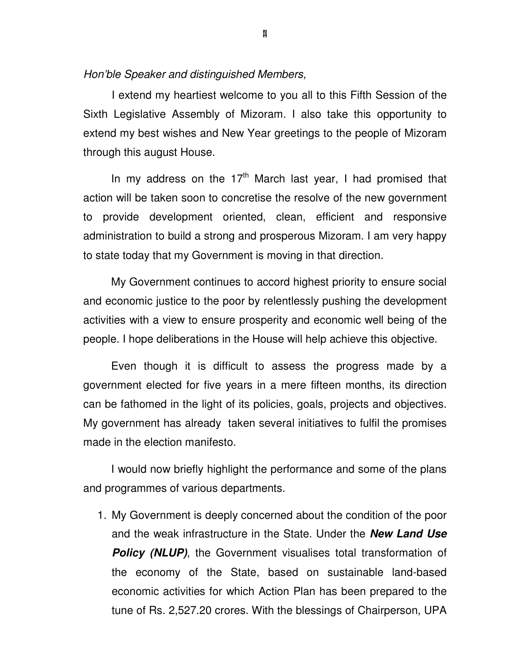#### Hon'ble Speaker and distinguished Members,

 I extend my heartiest welcome to you all to this Fifth Session of the Sixth Legislative Assembly of Mizoram. I also take this opportunity to extend my best wishes and New Year greetings to the people of Mizoram through this august House.

In my address on the  $17<sup>th</sup>$  March last year, I had promised that action will be taken soon to concretise the resolve of the new government to provide development oriented, clean, efficient and responsive administration to build a strong and prosperous Mizoram. I am very happy to state today that my Government is moving in that direction.

My Government continues to accord highest priority to ensure social and economic justice to the poor by relentlessly pushing the development activities with a view to ensure prosperity and economic well being of the people. I hope deliberations in the House will help achieve this objective.

Even though it is difficult to assess the progress made by a government elected for five years in a mere fifteen months, its direction can be fathomed in the light of its policies, goals, projects and objectives. My government has already taken several initiatives to fulfil the promises made in the election manifesto.

I would now briefly highlight the performance and some of the plans and programmes of various departments.

1. My Government is deeply concerned about the condition of the poor and the weak infrastructure in the State. Under the **New Land Use Policy (NLUP)**, the Government visualises total transformation of the economy of the State, based on sustainable land-based economic activities for which Action Plan has been prepared to the tune of Rs. 2,527.20 crores. With the blessings of Chairperson, UPA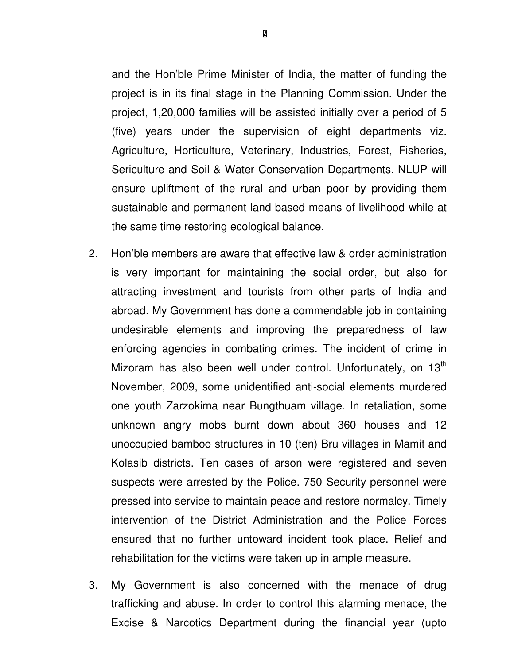and the Hon'ble Prime Minister of India, the matter of funding the project is in its final stage in the Planning Commission. Under the project, 1,20,000 families will be assisted initially over a period of 5 (five) years under the supervision of eight departments viz. Agriculture, Horticulture, Veterinary, Industries, Forest, Fisheries, Sericulture and Soil & Water Conservation Departments. NLUP will ensure upliftment of the rural and urban poor by providing them sustainable and permanent land based means of livelihood while at the same time restoring ecological balance.

- 2. Hon'ble members are aware that effective law & order administration is very important for maintaining the social order, but also for attracting investment and tourists from other parts of India and abroad. My Government has done a commendable job in containing undesirable elements and improving the preparedness of law enforcing agencies in combating crimes. The incident of crime in Mizoram has also been well under control. Unfortunately, on 13<sup>th</sup> November, 2009, some unidentified anti-social elements murdered one youth Zarzokima near Bungthuam village. In retaliation, some unknown angry mobs burnt down about 360 houses and 12 unoccupied bamboo structures in 10 (ten) Bru villages in Mamit and Kolasib districts. Ten cases of arson were registered and seven suspects were arrested by the Police. 750 Security personnel were pressed into service to maintain peace and restore normalcy. Timely intervention of the District Administration and the Police Forces ensured that no further untoward incident took place. Relief and rehabilitation for the victims were taken up in ample measure.
- 3. My Government is also concerned with the menace of drug trafficking and abuse. In order to control this alarming menace, the Excise & Narcotics Department during the financial year (upto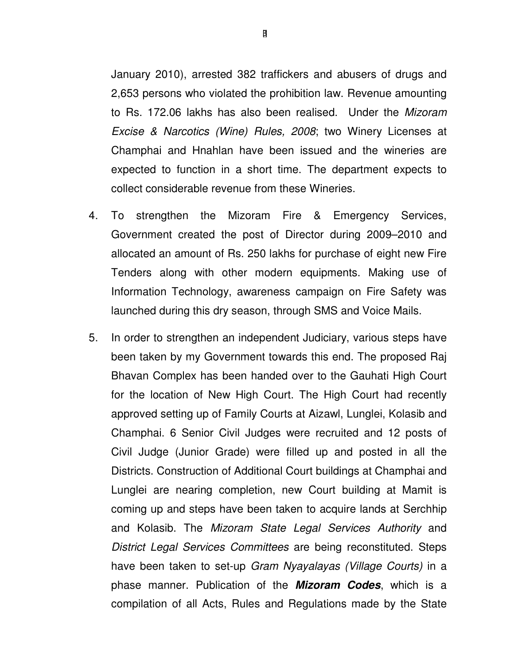January 2010), arrested 382 traffickers and abusers of drugs and 2,653 persons who violated the prohibition law. Revenue amounting to Rs. 172.06 lakhs has also been realised. Under the Mizoram Excise & Narcotics (Wine) Rules, 2008; two Winery Licenses at Champhai and Hnahlan have been issued and the wineries are expected to function in a short time. The department expects to collect considerable revenue from these Wineries.

- 4. To strengthen the Mizoram Fire & Emergency Services, Government created the post of Director during 2009–2010 and allocated an amount of Rs. 250 lakhs for purchase of eight new Fire Tenders along with other modern equipments. Making use of Information Technology, awareness campaign on Fire Safety was launched during this dry season, through SMS and Voice Mails.
- 5. In order to strengthen an independent Judiciary, various steps have been taken by my Government towards this end. The proposed Raj Bhavan Complex has been handed over to the Gauhati High Court for the location of New High Court. The High Court had recently approved setting up of Family Courts at Aizawl, Lunglei, Kolasib and Champhai. 6 Senior Civil Judges were recruited and 12 posts of Civil Judge (Junior Grade) were filled up and posted in all the Districts. Construction of Additional Court buildings at Champhai and Lunglei are nearing completion, new Court building at Mamit is coming up and steps have been taken to acquire lands at Serchhip and Kolasib. The Mizoram State Legal Services Authority and District Legal Services Committees are being reconstituted. Steps have been taken to set-up Gram Nyayalayas (Village Courts) in a phase manner. Publication of the **Mizoram Codes**, which is a compilation of all Acts, Rules and Regulations made by the State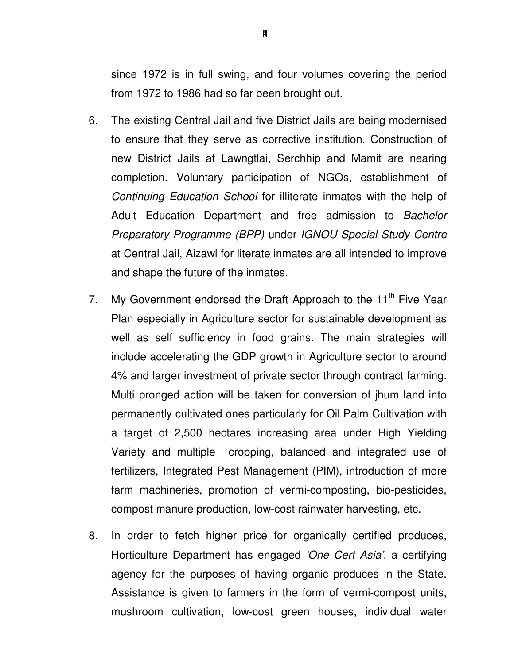since 1972 is in full swing, and four volumes covering the period from 1972 to 1986 had so far been brought out.

- 6. The existing Central Jail and five District Jails are being modernised to ensure that they serve as corrective institution. Construction of new District Jails at Lawngtlai, Serchhip and Mamit are nearing completion. Voluntary participation of NGOs, establishment of Continuing Education School for illiterate inmates with the help of Adult Education Department and free admission to Bachelor Preparatory Programme (BPP) under IGNOU Special Study Centre at Central Jail, Aizawl for literate inmates are all intended to improve and shape the future of the inmates.
- 7. My Government endorsed the Draft Approach to the 11<sup>th</sup> Five Year Plan especially in Agriculture sector for sustainable development as well as self sufficiency in food grains. The main strategies will include accelerating the GDP growth in Agriculture sector to around 4% and larger investment of private sector through contract farming. Multi pronged action will be taken for conversion of jhum land into permanently cultivated ones particularly for Oil Palm Cultivation with a target of 2,500 hectares increasing area under High Yielding Variety and multiple cropping, balanced and integrated use of fertilizers, Integrated Pest Management (PIM), introduction of more farm machineries, promotion of vermi-composting, bio-pesticides, compost manure production, low-cost rainwater harvesting, etc.
- 8. In order to fetch higher price for organically certified produces, Horticulture Department has engaged 'One Cert Asia', a certifying agency for the purposes of having organic produces in the State. Assistance is given to farmers in the form of vermi-compost units, mushroom cultivation, low-cost green houses, individual water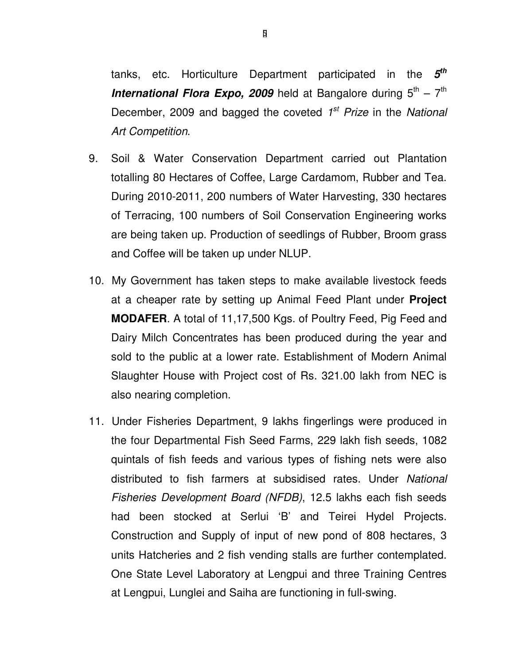tanks, etc. Horticulture Department participated in the **5 th International Flora Expo, 2009** held at Bangalore during  $5<sup>th</sup> - 7<sup>th</sup>$ December, 2009 and bagged the coveted 1<sup>st</sup> Prize in the National Art Competition.

- 9. Soil & Water Conservation Department carried out Plantation totalling 80 Hectares of Coffee, Large Cardamom, Rubber and Tea. During 2010-2011, 200 numbers of Water Harvesting, 330 hectares of Terracing, 100 numbers of Soil Conservation Engineering works are being taken up. Production of seedlings of Rubber, Broom grass and Coffee will be taken up under NLUP.
- 10. My Government has taken steps to make available livestock feeds at a cheaper rate by setting up Animal Feed Plant under **Project MODAFER**. A total of 11,17,500 Kgs. of Poultry Feed, Pig Feed and Dairy Milch Concentrates has been produced during the year and sold to the public at a lower rate. Establishment of Modern Animal Slaughter House with Project cost of Rs. 321.00 lakh from NEC is also nearing completion.
- 11. Under Fisheries Department, 9 lakhs fingerlings were produced in the four Departmental Fish Seed Farms, 229 lakh fish seeds, 1082 quintals of fish feeds and various types of fishing nets were also distributed to fish farmers at subsidised rates. Under National Fisheries Development Board (NFDB), 12.5 lakhs each fish seeds had been stocked at Serlui 'B' and Teirei Hydel Projects. Construction and Supply of input of new pond of 808 hectares, 3 units Hatcheries and 2 fish vending stalls are further contemplated. One State Level Laboratory at Lengpui and three Training Centres at Lengpui, Lunglei and Saiha are functioning in full-swing.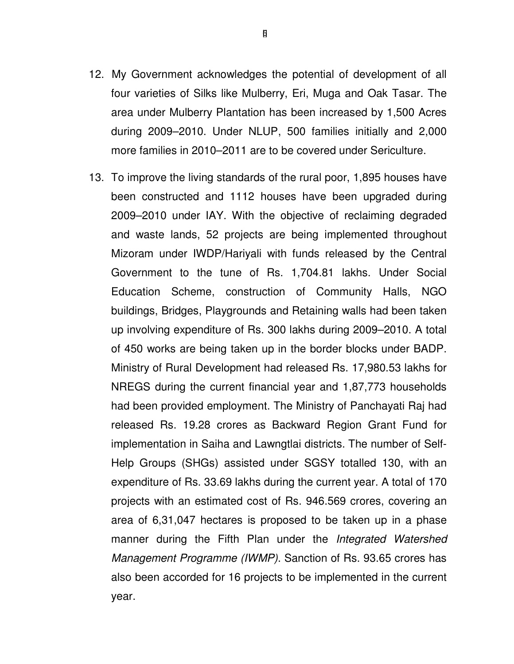- 12. My Government acknowledges the potential of development of all four varieties of Silks like Mulberry, Eri, Muga and Oak Tasar. The area under Mulberry Plantation has been increased by 1,500 Acres during 2009–2010. Under NLUP, 500 families initially and 2,000 more families in 2010–2011 are to be covered under Sericulture.
- 13. To improve the living standards of the rural poor, 1,895 houses have been constructed and 1112 houses have been upgraded during 2009–2010 under IAY. With the objective of reclaiming degraded and waste lands, 52 projects are being implemented throughout Mizoram under IWDP/Hariyali with funds released by the Central Government to the tune of Rs. 1,704.81 lakhs. Under Social Education Scheme, construction of Community Halls, NGO buildings, Bridges, Playgrounds and Retaining walls had been taken up involving expenditure of Rs. 300 lakhs during 2009–2010. A total of 450 works are being taken up in the border blocks under BADP. Ministry of Rural Development had released Rs. 17,980.53 lakhs for NREGS during the current financial year and 1,87,773 households had been provided employment. The Ministry of Panchayati Raj had released Rs. 19.28 crores as Backward Region Grant Fund for implementation in Saiha and Lawngtlai districts. The number of Self-Help Groups (SHGs) assisted under SGSY totalled 130, with an expenditure of Rs. 33.69 lakhs during the current year. A total of 170 projects with an estimated cost of Rs. 946.569 crores, covering an area of 6,31,047 hectares is proposed to be taken up in a phase manner during the Fifth Plan under the *Integrated Watershed* Management Programme (IWMP). Sanction of Rs. 93.65 crores has also been accorded for 16 projects to be implemented in the current year.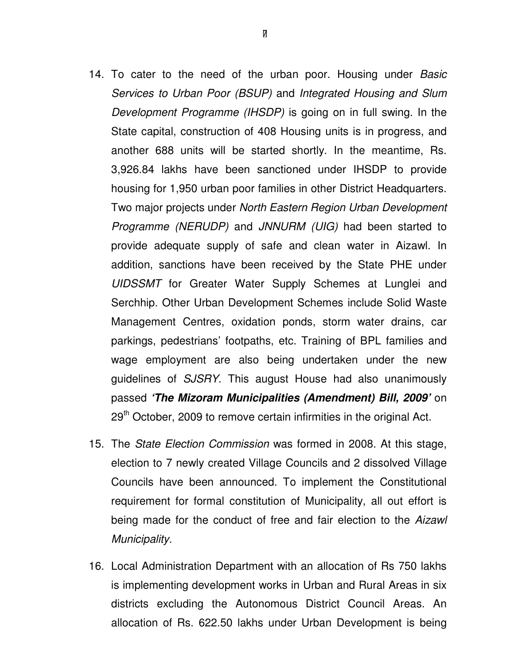- 14. To cater to the need of the urban poor. Housing under Basic Services to Urban Poor (BSUP) and Integrated Housing and Slum Development Programme (IHSDP) is going on in full swing. In the State capital, construction of 408 Housing units is in progress, and another 688 units will be started shortly. In the meantime, Rs. 3,926.84 lakhs have been sanctioned under IHSDP to provide housing for 1,950 urban poor families in other District Headquarters. Two major projects under North Eastern Region Urban Development Programme (NERUDP) and JNNURM (UIG) had been started to provide adequate supply of safe and clean water in Aizawl. In addition, sanctions have been received by the State PHE under UIDSSMT for Greater Water Supply Schemes at Lunglei and Serchhip. Other Urban Development Schemes include Solid Waste Management Centres, oxidation ponds, storm water drains, car parkings, pedestrians' footpaths, etc. Training of BPL families and wage employment are also being undertaken under the new guidelines of SJSRY. This august House had also unanimously passed **'The Mizoram Municipalities (Amendment) Bill, 2009'** on 29<sup>th</sup> October, 2009 to remove certain infirmities in the original Act.
- 15. The State Election Commission was formed in 2008. At this stage, election to 7 newly created Village Councils and 2 dissolved Village Councils have been announced. To implement the Constitutional requirement for formal constitution of Municipality, all out effort is being made for the conduct of free and fair election to the Aizawl Municipality.
- 16. Local Administration Department with an allocation of Rs 750 lakhs is implementing development works in Urban and Rural Areas in six districts excluding the Autonomous District Council Areas. An allocation of Rs. 622.50 lakhs under Urban Development is being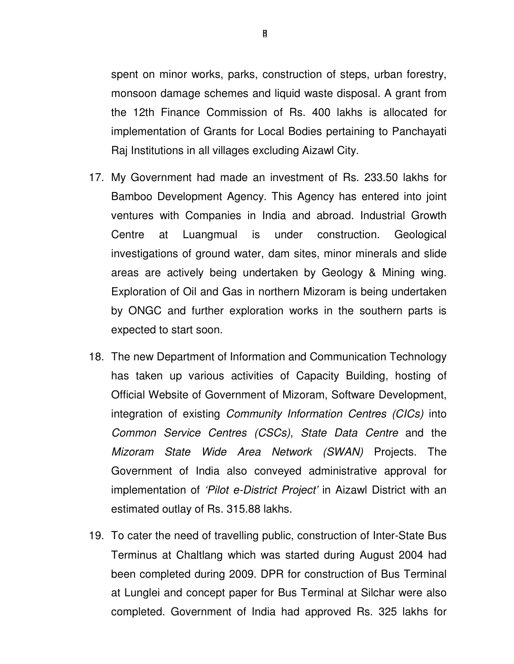spent on minor works, parks, construction of steps, urban forestry, monsoon damage schemes and liquid waste disposal. A grant from the 12th Finance Commission of Rs. 400 lakhs is allocated for implementation of Grants for Local Bodies pertaining to Panchayati Raj Institutions in all villages excluding Aizawl City.

- 17. My Government had made an investment of Rs. 233.50 lakhs for Bamboo Development Agency. This Agency has entered into joint ventures with Companies in India and abroad. Industrial Growth Centre at Luangmual is under construction. Geological investigations of ground water, dam sites, minor minerals and slide areas are actively being undertaken by Geology & Mining wing. Exploration of Oil and Gas in northern Mizoram is being undertaken by ONGC and further exploration works in the southern parts is expected to start soon.
- 18. The new Department of Information and Communication Technology has taken up various activities of Capacity Building, hosting of Official Website of Government of Mizoram, Software Development, integration of existing Community Information Centres (CICs) into Common Service Centres (CSCs), State Data Centre and the Mizoram State Wide Area Network (SWAN) Projects. The Government of India also conveyed administrative approval for implementation of 'Pilot e-District Project' in Aizawl District with an estimated outlay of Rs. 315.88 lakhs.
- 19. To cater the need of travelling public, construction of Inter-State Bus Terminus at Chaltlang which was started during August 2004 had been completed during 2009. DPR for construction of Bus Terminal at Lunglei and concept paper for Bus Terminal at Silchar were also completed. Government of India had approved Rs. 325 lakhs for

[] 8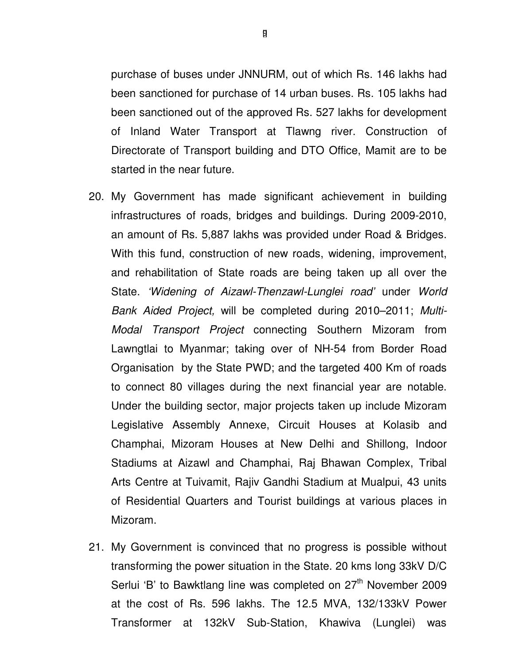purchase of buses under JNNURM, out of which Rs. 146 lakhs had been sanctioned for purchase of 14 urban buses. Rs. 105 lakhs had been sanctioned out of the approved Rs. 527 lakhs for development of Inland Water Transport at Tlawng river. Construction of Directorate of Transport building and DTO Office, Mamit are to be started in the near future.

- 20. My Government has made significant achievement in building infrastructures of roads, bridges and buildings. During 2009-2010, an amount of Rs. 5,887 lakhs was provided under Road & Bridges. With this fund, construction of new roads, widening, improvement, and rehabilitation of State roads are being taken up all over the State. 'Widening of Aizawl-Thenzawl-Lunglei road' under World Bank Aided Project, will be completed during 2010–2011; Multi-Modal Transport Project connecting Southern Mizoram from Lawngtlai to Myanmar; taking over of NH-54 from Border Road Organisation by the State PWD; and the targeted 400 Km of roads to connect 80 villages during the next financial year are notable. Under the building sector, major projects taken up include Mizoram Legislative Assembly Annexe, Circuit Houses at Kolasib and Champhai, Mizoram Houses at New Delhi and Shillong, Indoor Stadiums at Aizawl and Champhai, Raj Bhawan Complex, Tribal Arts Centre at Tuivamit, Rajiv Gandhi Stadium at Mualpui, 43 units of Residential Quarters and Tourist buildings at various places in Mizoram.
- 21. My Government is convinced that no progress is possible without transforming the power situation in the State. 20 kms long 33kV D/C Serlui 'B' to Bawktlang line was completed on  $27<sup>th</sup>$  November 2009 at the cost of Rs. 596 lakhs. The 12.5 MVA, 132/133kV Power Transformer at 132kV Sub-Station, Khawiva (Lunglei) was

 $\mathsf{g}$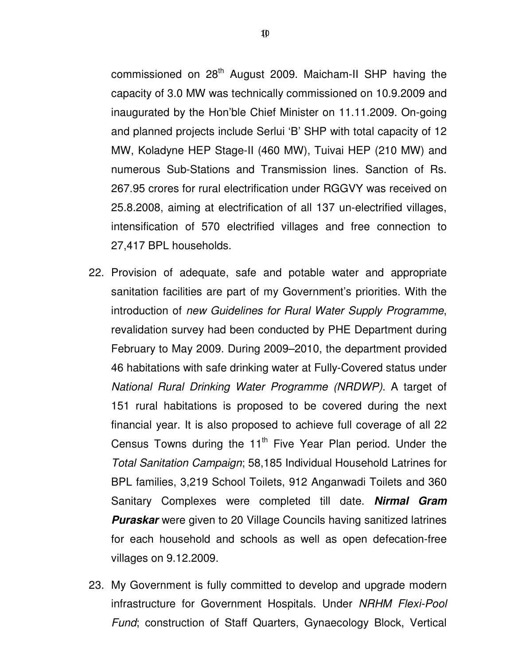commissioned on 28<sup>th</sup> August 2009. Maicham-II SHP having the capacity of 3.0 MW was technically commissioned on 10.9.2009 and inaugurated by the Hon'ble Chief Minister on 11.11.2009. On-going and planned projects include Serlui 'B' SHP with total capacity of 12 MW, Koladyne HEP Stage-II (460 MW), Tuivai HEP (210 MW) and numerous Sub-Stations and Transmission lines. Sanction of Rs. 267.95 crores for rural electrification under RGGVY was received on 25.8.2008, aiming at electrification of all 137 un-electrified villages, intensification of 570 electrified villages and free connection to 27,417 BPL households.

- 22. Provision of adequate, safe and potable water and appropriate sanitation facilities are part of my Government's priorities. With the introduction of new Guidelines for Rural Water Supply Programme, revalidation survey had been conducted by PHE Department during February to May 2009. During 2009–2010, the department provided 46 habitations with safe drinking water at Fully-Covered status under National Rural Drinking Water Programme (NRDWP). A target of 151 rural habitations is proposed to be covered during the next financial year. It is also proposed to achieve full coverage of all 22 Census Towns during the  $11<sup>th</sup>$  Five Year Plan period. Under the Total Sanitation Campaign; 58,185 Individual Household Latrines for BPL families, 3,219 School Toilets, 912 Anganwadi Toilets and 360 Sanitary Complexes were completed till date. **Nirmal Gram Puraskar** were given to 20 Village Councils having sanitized latrines for each household and schools as well as open defecation-free villages on 9.12.2009.
- 23. My Government is fully committed to develop and upgrade modern infrastructure for Government Hospitals. Under NRHM Flexi-Pool Fund; construction of Staff Quarters, Gynaecology Block, Vertical

10[]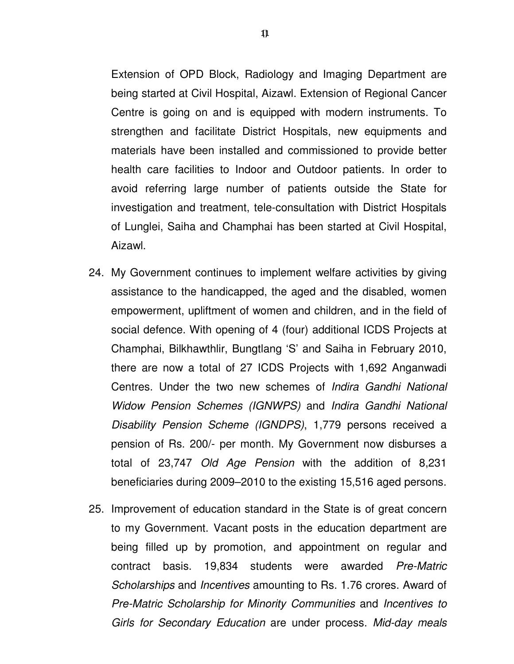Extension of OPD Block, Radiology and Imaging Department are being started at Civil Hospital, Aizawl. Extension of Regional Cancer Centre is going on and is equipped with modern instruments. To strengthen and facilitate District Hospitals, new equipments and materials have been installed and commissioned to provide better health care facilities to Indoor and Outdoor patients. In order to avoid referring large number of patients outside the State for investigation and treatment, tele-consultation with District Hospitals of Lunglei, Saiha and Champhai has been started at Civil Hospital,

24. My Government continues to implement welfare activities by giving assistance to the handicapped, the aged and the disabled, women empowerment, upliftment of women and children, and in the field of social defence. With opening of 4 (four) additional ICDS Projects at Champhai, Bilkhawthlir, Bungtlang 'S' and Saiha in February 2010, there are now a total of 27 ICDS Projects with 1,692 Anganwadi Centres. Under the two new schemes of Indira Gandhi National Widow Pension Schemes (IGNWPS) and Indira Gandhi National Disability Pension Scheme (IGNDPS), 1,779 persons received a pension of Rs. 200/- per month. My Government now disburses a total of 23,747 Old Age Pension with the addition of 8,231 beneficiaries during 2009–2010 to the existing 15,516 aged persons.

Aizawl.

25. Improvement of education standard in the State is of great concern to my Government. Vacant posts in the education department are being filled up by promotion, and appointment on regular and contract basis. 19,834 students were awarded Pre-Matric Scholarships and Incentives amounting to Rs. 1.76 crores. Award of Pre-Matric Scholarship for Minority Communities and Incentives to Girls for Secondary Education are under process. Mid-day meals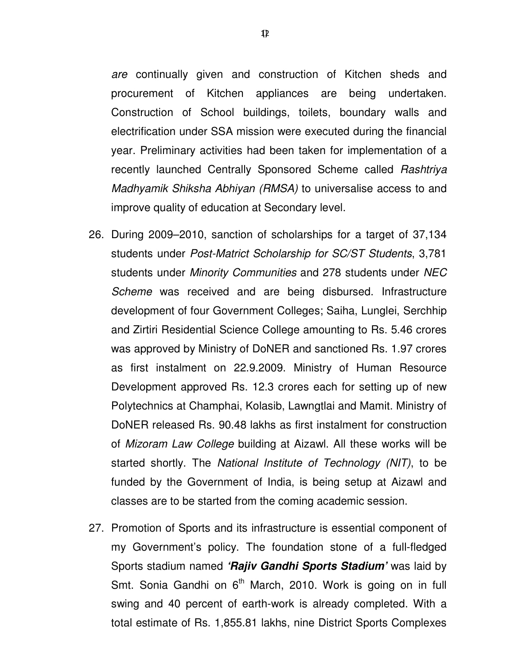are continually given and construction of Kitchen sheds and procurement of Kitchen appliances are being undertaken. Construction of School buildings, toilets, boundary walls and electrification under SSA mission were executed during the financial year. Preliminary activities had been taken for implementation of a recently launched Centrally Sponsored Scheme called Rashtriya Madhyamik Shiksha Abhiyan (RMSA) to universalise access to and improve quality of education at Secondary level.

- 26. During 2009–2010, sanction of scholarships for a target of 37,134 students under Post-Matrict Scholarship for SC/ST Students, 3,781 students under Minority Communities and 278 students under NEC Scheme was received and are being disbursed. Infrastructure development of four Government Colleges; Saiha, Lunglei, Serchhip and Zirtiri Residential Science College amounting to Rs. 5.46 crores was approved by Ministry of DoNER and sanctioned Rs. 1.97 crores as first instalment on 22.9.2009. Ministry of Human Resource Development approved Rs. 12.3 crores each for setting up of new Polytechnics at Champhai, Kolasib, Lawngtlai and Mamit. Ministry of DoNER released Rs. 90.48 lakhs as first instalment for construction of Mizoram Law College building at Aizawl. All these works will be started shortly. The National Institute of Technology (NIT), to be funded by the Government of India, is being setup at Aizawl and classes are to be started from the coming academic session.
- 27. Promotion of Sports and its infrastructure is essential component of my Government's policy. The foundation stone of a full-fledged Sports stadium named **'Rajiv Gandhi Sports Stadium'** was laid by Smt. Sonia Gandhi on  $6<sup>th</sup>$  March, 2010. Work is going on in full swing and 40 percent of earth-work is already completed. With a total estimate of Rs. 1,855.81 lakhs, nine District Sports Complexes

12[]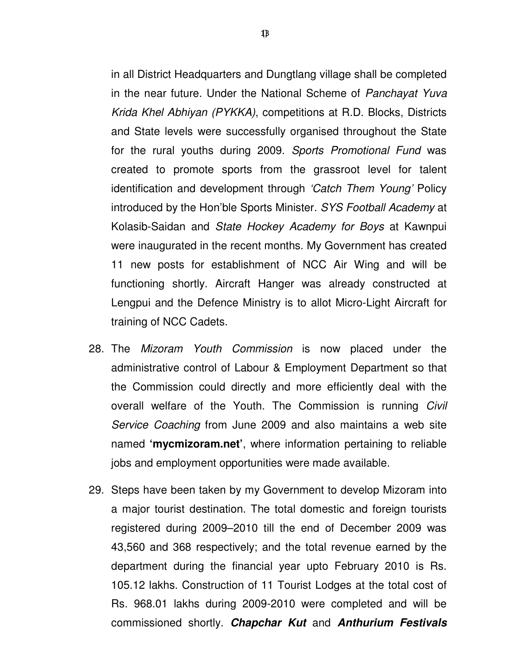in all District Headquarters and Dungtlang village shall be completed in the near future. Under the National Scheme of Panchayat Yuva Krida Khel Abhiyan (PYKKA), competitions at R.D. Blocks, Districts and State levels were successfully organised throughout the State for the rural youths during 2009. Sports Promotional Fund was created to promote sports from the grassroot level for talent identification and development through 'Catch Them Young' Policy introduced by the Hon'ble Sports Minister. SYS Football Academy at Kolasib-Saidan and State Hockey Academy for Boys at Kawnpui were inaugurated in the recent months. My Government has created 11 new posts for establishment of NCC Air Wing and will be functioning shortly. Aircraft Hanger was already constructed at Lengpui and the Defence Ministry is to allot Micro-Light Aircraft for training of NCC Cadets.

- 28. The Mizoram Youth Commission is now placed under the administrative control of Labour & Employment Department so that the Commission could directly and more efficiently deal with the overall welfare of the Youth. The Commission is running Civil Service Coaching from June 2009 and also maintains a web site named **'mycmizoram.net'**, where information pertaining to reliable jobs and employment opportunities were made available.
- 29. Steps have been taken by my Government to develop Mizoram into a major tourist destination. The total domestic and foreign tourists registered during 2009–2010 till the end of December 2009 was 43,560 and 368 respectively; and the total revenue earned by the department during the financial year upto February 2010 is Rs. 105.12 lakhs. Construction of 11 Tourist Lodges at the total cost of Rs. 968.01 lakhs during 2009-2010 were completed and will be commissioned shortly. **Chapchar Kut** and **Anthurium Festivals**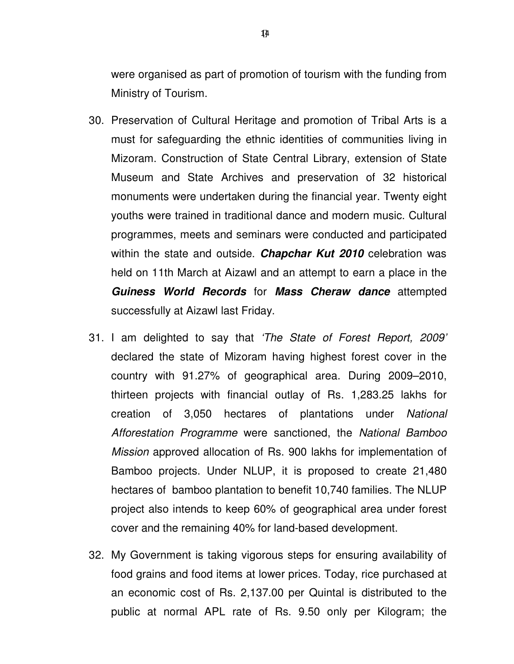were organised as part of promotion of tourism with the funding from Ministry of Tourism.

- 30. Preservation of Cultural Heritage and promotion of Tribal Arts is a must for safeguarding the ethnic identities of communities living in Mizoram. Construction of State Central Library, extension of State Museum and State Archives and preservation of 32 historical monuments were undertaken during the financial year. Twenty eight youths were trained in traditional dance and modern music. Cultural programmes, meets and seminars were conducted and participated within the state and outside. **Chapchar Kut 2010** celebration was held on 11th March at Aizawl and an attempt to earn a place in the **Guiness World Records** for **Mass Cheraw dance** attempted successfully at Aizawl last Friday.
- 31. I am delighted to say that 'The State of Forest Report, 2009' declared the state of Mizoram having highest forest cover in the country with 91.27% of geographical area. During 2009–2010, thirteen projects with financial outlay of Rs. 1,283.25 lakhs for creation of 3,050 hectares of plantations under National Afforestation Programme were sanctioned, the National Bamboo Mission approved allocation of Rs. 900 lakhs for implementation of Bamboo projects. Under NLUP, it is proposed to create 21,480 hectares of bamboo plantation to benefit 10,740 families. The NLUP project also intends to keep 60% of geographical area under forest cover and the remaining 40% for land-based development.
- 32. My Government is taking vigorous steps for ensuring availability of food grains and food items at lower prices. Today, rice purchased at an economic cost of Rs. 2,137.00 per Quintal is distributed to the public at normal APL rate of Rs. 9.50 only per Kilogram; the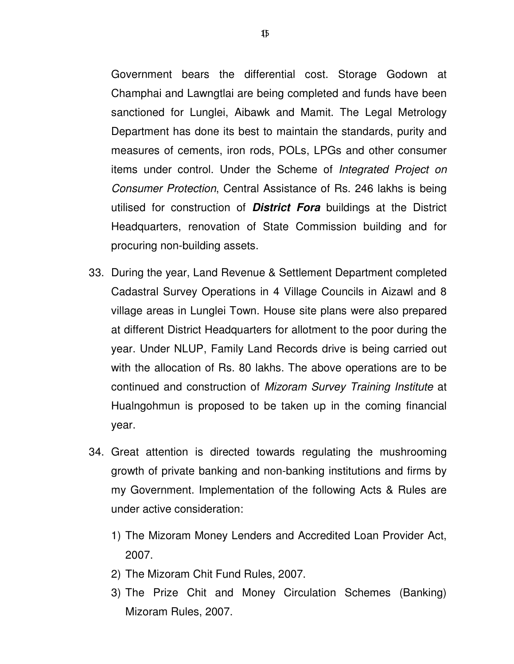Government bears the differential cost. Storage Godown at Champhai and Lawngtlai are being completed and funds have been sanctioned for Lunglei, Aibawk and Mamit. The Legal Metrology Department has done its best to maintain the standards, purity and measures of cements, iron rods, POLs, LPGs and other consumer items under control. Under the Scheme of Integrated Project on

- Consumer Protection, Central Assistance of Rs. 246 lakhs is being utilised for construction of **District Fora** buildings at the District Headquarters, renovation of State Commission building and for procuring non-building assets.
- 33. During the year, Land Revenue & Settlement Department completed Cadastral Survey Operations in 4 Village Councils in Aizawl and 8 village areas in Lunglei Town. House site plans were also prepared at different District Headquarters for allotment to the poor during the year. Under NLUP, Family Land Records drive is being carried out with the allocation of Rs. 80 lakhs. The above operations are to be continued and construction of Mizoram Survey Training Institute at Hualngohmun is proposed to be taken up in the coming financial year.
- 34. Great attention is directed towards regulating the mushrooming growth of private banking and non-banking institutions and firms by my Government. Implementation of the following Acts & Rules are under active consideration:
	- 1) The Mizoram Money Lenders and Accredited Loan Provider Act, 2007.
	- 2) The Mizoram Chit Fund Rules, 2007.
	- 3) The Prize Chit and Money Circulation Schemes (Banking) Mizoram Rules, 2007.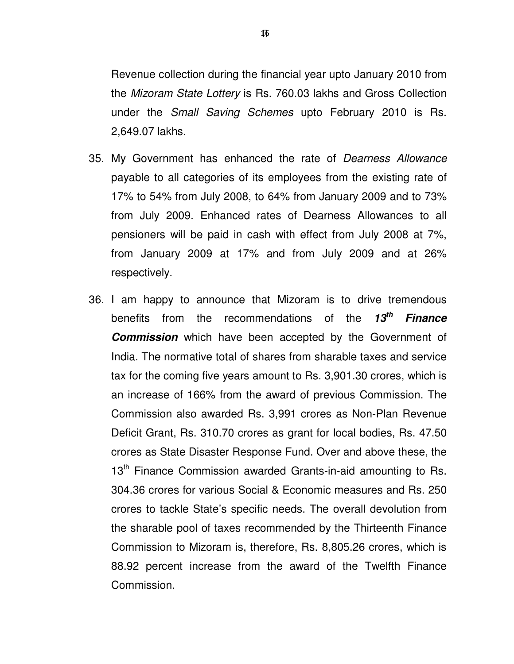Revenue collection during the financial year upto January 2010 from the Mizoram State Lottery is Rs. 760.03 lakhs and Gross Collection under the Small Saving Schemes upto February 2010 is Rs. 2,649.07 lakhs.

- 35. My Government has enhanced the rate of Dearness Allowance payable to all categories of its employees from the existing rate of 17% to 54% from July 2008, to 64% from January 2009 and to 73% from July 2009. Enhanced rates of Dearness Allowances to all pensioners will be paid in cash with effect from July 2008 at 7%, from January 2009 at 17% and from July 2009 and at 26% respectively.
- 36. I am happy to announce that Mizoram is to drive tremendous benefits from the recommendations of the **13th Finance Commission** which have been accepted by the Government of India. The normative total of shares from sharable taxes and service tax for the coming five years amount to Rs. 3,901.30 crores, which is an increase of 166% from the award of previous Commission. The Commission also awarded Rs. 3,991 crores as Non-Plan Revenue Deficit Grant, Rs. 310.70 crores as grant for local bodies, Rs. 47.50 crores as State Disaster Response Fund. Over and above these, the 13<sup>th</sup> Finance Commission awarded Grants-in-aid amounting to Rs. 304.36 crores for various Social & Economic measures and Rs. 250 crores to tackle State's specific needs. The overall devolution from the sharable pool of taxes recommended by the Thirteenth Finance Commission to Mizoram is, therefore, Rs. 8,805.26 crores, which is 88.92 percent increase from the award of the Twelfth Finance Commission.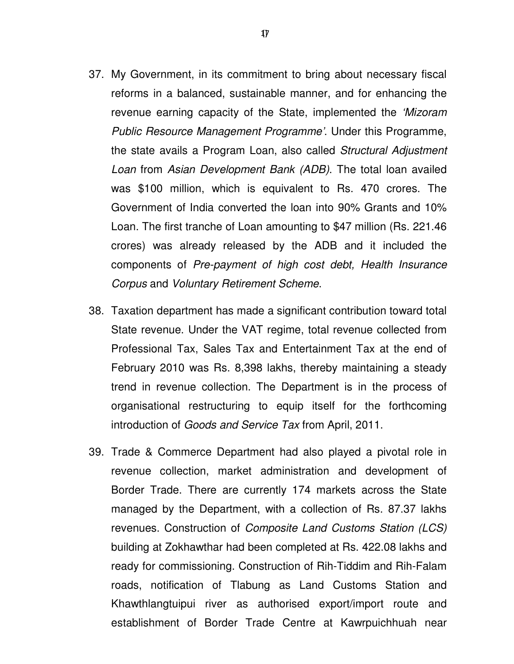- 37. My Government, in its commitment to bring about necessary fiscal reforms in a balanced, sustainable manner, and for enhancing the revenue earning capacity of the State, implemented the 'Mizoram Public Resource Management Programme'. Under this Programme, the state avails a Program Loan, also called Structural Adjustment Loan from Asian Development Bank (ADB). The total loan availed was \$100 million, which is equivalent to Rs. 470 crores. The Government of India converted the loan into 90% Grants and 10% Loan. The first tranche of Loan amounting to \$47 million (Rs. 221.46 crores) was already released by the ADB and it included the components of Pre-payment of high cost debt, Health Insurance Corpus and Voluntary Retirement Scheme.
- 38. Taxation department has made a significant contribution toward total State revenue. Under the VAT regime, total revenue collected from Professional Tax, Sales Tax and Entertainment Tax at the end of February 2010 was Rs. 8,398 lakhs, thereby maintaining a steady trend in revenue collection. The Department is in the process of organisational restructuring to equip itself for the forthcoming introduction of Goods and Service Tax from April, 2011.
- 39. Trade & Commerce Department had also played a pivotal role in revenue collection, market administration and development of Border Trade. There are currently 174 markets across the State managed by the Department, with a collection of Rs. 87.37 lakhs revenues. Construction of Composite Land Customs Station (LCS) building at Zokhawthar had been completed at Rs. 422.08 lakhs and ready for commissioning. Construction of Rih-Tiddim and Rih-Falam roads, notification of Tlabung as Land Customs Station and Khawthlangtuipui river as authorised export/import route and establishment of Border Trade Centre at Kawrpuichhuah near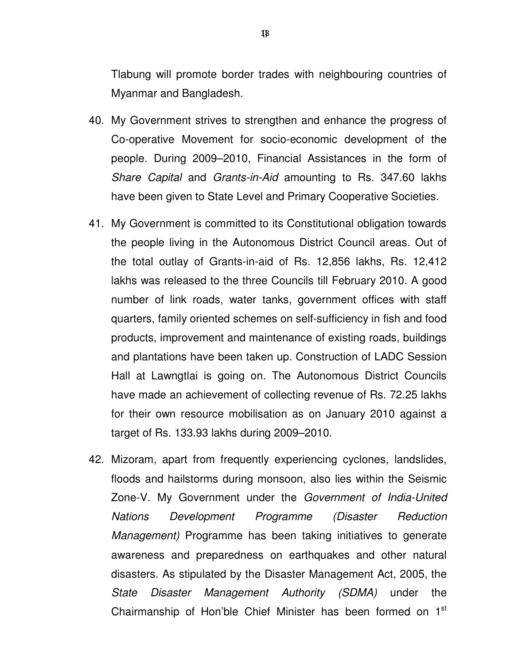Tlabung will promote border trades with neighbouring countries of Myanmar and Bangladesh.

- 40. My Government strives to strengthen and enhance the progress of Co-operative Movement for socio-economic development of the people. During 2009–2010, Financial Assistances in the form of Share Capital and Grants-in-Aid amounting to Rs. 347.60 lakhs have been given to State Level and Primary Cooperative Societies.
- 41. My Government is committed to its Constitutional obligation towards the people living in the Autonomous District Council areas. Out of the total outlay of Grants-in-aid of Rs. 12,856 lakhs, Rs. 12,412 lakhs was released to the three Councils till February 2010. A good number of link roads, water tanks, government offices with staff quarters, family oriented schemes on self-sufficiency in fish and food products, improvement and maintenance of existing roads, buildings and plantations have been taken up. Construction of LADC Session Hall at Lawngtlai is going on. The Autonomous District Councils have made an achievement of collecting revenue of Rs. 72.25 lakhs for their own resource mobilisation as on January 2010 against a target of Rs. 133.93 lakhs during 2009–2010.
- 42. Mizoram, apart from frequently experiencing cyclones, landslides, floods and hailstorms during monsoon, also lies within the Seismic Zone-V. My Government under the Government of India-United Nations Development Programme (Disaster Reduction Management) Programme has been taking initiatives to generate awareness and preparedness on earthquakes and other natural disasters. As stipulated by the Disaster Management Act, 2005, the State Disaster Management Authority (SDMA) under the Chairmanship of Hon'ble Chief Minister has been formed on  $1<sup>st</sup>$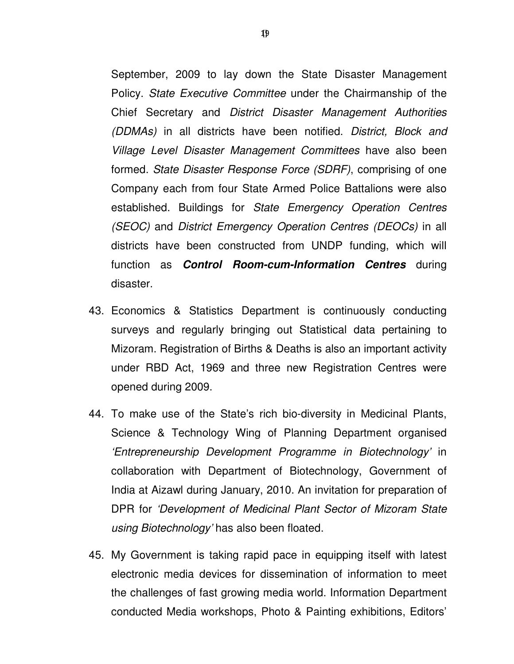September, 2009 to lay down the State Disaster Management Policy. State Executive Committee under the Chairmanship of the Chief Secretary and District Disaster Management Authorities (DDMAs) in all districts have been notified. District, Block and Village Level Disaster Management Committees have also been formed. State Disaster Response Force (SDRF), comprising of one Company each from four State Armed Police Battalions were also established. Buildings for State Emergency Operation Centres (SEOC) and District Emergency Operation Centres (DEOCs) in all districts have been constructed from UNDP funding, which will function as **Control Room-cum-Information Centres** during disaster.

- 43. Economics & Statistics Department is continuously conducting surveys and regularly bringing out Statistical data pertaining to Mizoram. Registration of Births & Deaths is also an important activity under RBD Act, 1969 and three new Registration Centres were opened during 2009.
- 44. To make use of the State's rich bio-diversity in Medicinal Plants, Science & Technology Wing of Planning Department organised 'Entrepreneurship Development Programme in Biotechnology' in collaboration with Department of Biotechnology, Government of India at Aizawl during January, 2010. An invitation for preparation of DPR for 'Development of Medicinal Plant Sector of Mizoram State using Biotechnology' has also been floated.
- 45. My Government is taking rapid pace in equipping itself with latest electronic media devices for dissemination of information to meet the challenges of fast growing media world. Information Department conducted Media workshops, Photo & Painting exhibitions, Editors'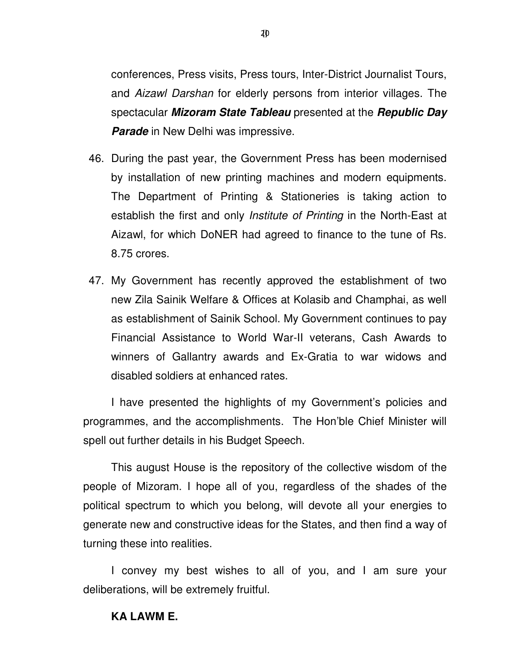conferences, Press visits, Press tours, Inter-District Journalist Tours, and Aizawl Darshan for elderly persons from interior villages. The spectacular **Mizoram State Tableau** presented at the **Republic Day Parade** in New Delhi was impressive.

- 46. During the past year, the Government Press has been modernised by installation of new printing machines and modern equipments. The Department of Printing & Stationeries is taking action to establish the first and only *Institute of Printing* in the North-East at Aizawl, for which DoNER had agreed to finance to the tune of Rs. 8.75 crores.
- 47. My Government has recently approved the establishment of two new Zila Sainik Welfare & Offices at Kolasib and Champhai, as well as establishment of Sainik School. My Government continues to pay Financial Assistance to World War-II veterans, Cash Awards to winners of Gallantry awards and Ex-Gratia to war widows and disabled soldiers at enhanced rates.

I have presented the highlights of my Government's policies and programmes, and the accomplishments. The Hon'ble Chief Minister will spell out further details in his Budget Speech.

This august House is the repository of the collective wisdom of the people of Mizoram. I hope all of you, regardless of the shades of the political spectrum to which you belong, will devote all your energies to generate new and constructive ideas for the States, and then find a way of turning these into realities.

I convey my best wishes to all of you, and I am sure your deliberations, will be extremely fruitful.

#### **KA LAWM E.**